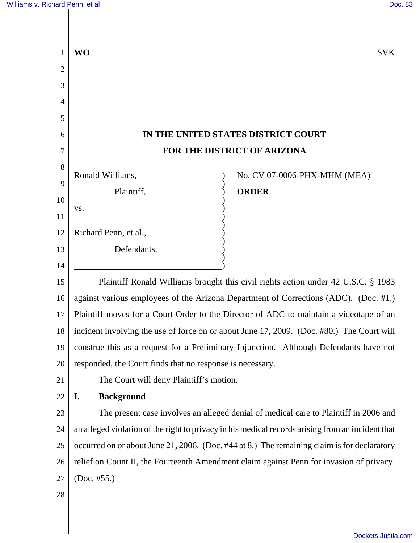| 1              | <b>WO</b><br><b>SVK</b>                                                                           |
|----------------|---------------------------------------------------------------------------------------------------|
| $\overline{2}$ |                                                                                                   |
| 3              |                                                                                                   |
| $\overline{4}$ |                                                                                                   |
| 5              |                                                                                                   |
| 6              | IN THE UNITED STATES DISTRICT COURT                                                               |
| 7              | FOR THE DISTRICT OF ARIZONA                                                                       |
| 8              | Ronald Williams,<br>No. CV 07-0006-PHX-MHM (MEA)                                                  |
| 9              | <b>ORDER</b><br>Plaintiff,                                                                        |
| 10             | VS.                                                                                               |
| 11             |                                                                                                   |
| 12             | Richard Penn, et al.,                                                                             |
| 13             | Defendants.                                                                                       |
| 14             |                                                                                                   |
| 15             | Plaintiff Ronald Williams brought this civil rights action under 42 U.S.C. § 1983                 |
| 16             | against various employees of the Arizona Department of Corrections (ADC). (Doc. #1.)              |
| 17             | Plaintiff moves for a Court Order to the Director of ADC to maintain a videotape of an            |
| 18             | incident involving the use of force on or about June 17, 2009. (Doc. #80.) The Court will         |
| 19             | construe this as a request for a Preliminary Injunction. Although Defendants have not             |
| 20             | responded, the Court finds that no response is necessary.                                         |
| 21             | The Court will deny Plaintiff's motion.                                                           |
| 22             | <b>Background</b><br>I.                                                                           |
| 23             | The present case involves an alleged denial of medical care to Plaintiff in 2006 and              |
| 24             | an alleged violation of the right to privacy in his medical records arising from an incident that |
| 25             | occurred on or about June 21, 2006. (Doc. #44 at 8.) The remaining claim is for declaratory       |
| 26             | relief on Count II, the Fourteenth Amendment claim against Penn for invasion of privacy.          |
| 27             | (Doc. #55.)                                                                                       |
| 28             |                                                                                                   |
|                |                                                                                                   |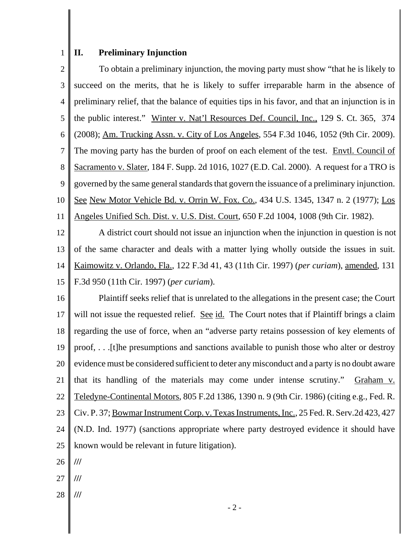## $1$  II. **II. Preliminary Injunction**

| $\overline{2}$ | To obtain a preliminary injunction, the moving party must show "that he is likely to             |
|----------------|--------------------------------------------------------------------------------------------------|
| 3              | succeed on the merits, that he is likely to suffer irreparable harm in the absence of            |
| $\overline{4}$ | preliminary relief, that the balance of equities tips in his favor, and that an injunction is in |
| 5              | the public interest." Winter v. Nat'l Resources Def. Council, Inc., 129 S. Ct. 365, 374          |
| 6              | (2008); Am. Trucking Assn. v. City of Los Angeles, 554 F.3d 1046, 1052 (9th Cir. 2009).          |
| 7              | The moving party has the burden of proof on each element of the test. Envtl. Council of          |
| 8              | Sacramento v. Slater, 184 F. Supp. 2d 1016, 1027 (E.D. Cal. 2000). A request for a TRO is        |
| 9              | governed by the same general standards that govern the issuance of a preliminary injunction.     |
| 10             | See New Motor Vehicle Bd. v. Orrin W. Fox. Co., 434 U.S. 1345, 1347 n. 2 (1977); Los             |
| 11             | Angeles Unified Sch. Dist. v. U.S. Dist. Court, 650 F.2d 1004, 1008 (9th Cir. 1982).             |
| 12             | A district court should not issue an injunction when the injunction in question is not           |
| 13             | of the same character and deals with a matter lying wholly outside the issues in suit.           |
| 14             | Kaimowitz v. Orlando, Fla., 122 F.3d 41, 43 (11th Cir. 1997) (per curiam), amended, 131          |
| 15             | F.3d 950 (11th Cir. 1997) (per curiam).                                                          |
| 16             | Plaintiff seeks relief that is unrelated to the allegations in the present case; the Court       |
| 17             | will not issue the requested relief. See id. The Court notes that if Plaintiff brings a claim    |
| 18             | regarding the use of force, when an "adverse party retains possession of key elements of         |
| 19             | proof, [t] he presumptions and sanctions available to punish those who alter or destroy          |
| 20             | evidence must be considered sufficient to deter any misconduct and a party is no doubt aware     |
| 21             | that its handling of the materials may come under intense scrutiny."<br>Graham v.                |
| 22             | Teledyne-Continental Motors, 805 F.2d 1386, 1390 n. 9 (9th Cir. 1986) (citing e.g., Fed. R.      |
| 23             | Civ. P. 37; Bowmar Instrument Corp. v. Texas Instruments, Inc., 25 Fed. R. Serv.2d 423, 427      |
| 24             | (N.D. Ind. 1977) (sanctions appropriate where party destroyed evidence it should have            |
| 25             | known would be relevant in future litigation).                                                   |
| 26             | $\frac{1}{1}$                                                                                    |
| 27             | ///                                                                                              |
|                |                                                                                                  |

28 **///**